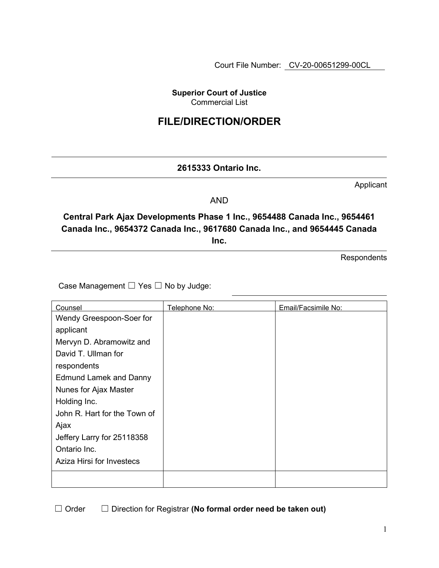Court File Number: CV-20-00651299-00CL

**Superior Court of Justice**  Commercial List

# **FILE/DIRECTION/ORDER**

## **2615333 Ontario Inc.**

Applicant

AND

**Central Park Ajax Developments Phase 1 Inc., 9654488 Canada Inc., 9654461 Canada Inc., 9654372 Canada Inc., 9617680 Canada Inc., and 9654445 Canada Inc.**

**Respondents** 

Case Management ☐ Yes ☐ No by Judge:

| Counsel                       | Telephone No: | Email/Facsimile No: |
|-------------------------------|---------------|---------------------|
| Wendy Greespoon-Soer for      |               |                     |
| applicant                     |               |                     |
| Mervyn D. Abramowitz and      |               |                     |
| David T. Ullman for           |               |                     |
| respondents                   |               |                     |
| <b>Edmund Lamek and Danny</b> |               |                     |
| Nunes for Ajax Master         |               |                     |
| Holding Inc.                  |               |                     |
| John R. Hart for the Town of  |               |                     |
| Ajax                          |               |                     |
| Jeffery Larry for 25118358    |               |                     |
| Ontario Inc.                  |               |                     |
| Aziza Hirsi for Investecs     |               |                     |
|                               |               |                     |

☐ Order ☐ Direction for Registrar **(No formal order need be taken out)**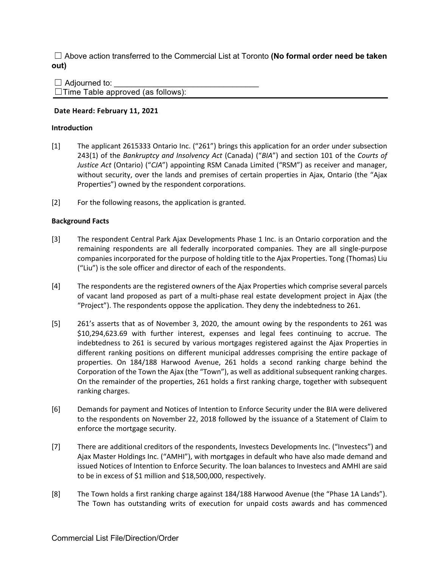☐ Above action transferred to the Commercial List at Toronto **(No formal order need be taken out)**

 $\Box$  Adjourned to:  $\Box$ Time Table approved (as follows):

## **Date Heard: February 11, 2021**

### **Introduction**

- [1] The applicant 2615333 Ontario Inc. ("261") brings this application for an order under subsection 243(1) of the *Bankruptcy and Insolvency Act* (Canada) ("*BIA*") and section 101 of the *Courts of Justice Act* (Ontario) ("*CJA*") appointing RSM Canada Limited ("RSM") as receiver and manager, without security, over the lands and premises of certain properties in Ajax, Ontario (the "Ajax Properties") owned by the respondent corporations.
- [2] For the following reasons, the application is granted.

## **Background Facts**

- [3] The respondent Central Park Ajax Developments Phase 1 Inc. is an Ontario corporation and the remaining respondents are all federally incorporated companies. They are all single-purpose companies incorporated for the purpose of holding title to the Ajax Properties. Tong (Thomas) Liu ("Liu") is the sole officer and director of each of the respondents.
- [4] The respondents are the registered owners of the Ajax Properties which comprise several parcels of vacant land proposed as part of a multi-phase real estate development project in Ajax (the "Project"). The respondents oppose the application. They deny the indebtedness to 261.
- [5] 261's asserts that as of November 3, 2020, the amount owing by the respondents to 261 was \$10,294,623.69 with further interest, expenses and legal fees continuing to accrue. The indebtedness to 261 is secured by various mortgages registered against the Ajax Properties in different ranking positions on different municipal addresses comprising the entire package of properties. On 184/188 Harwood Avenue, 261 holds a second ranking charge behind the Corporation of the Town the Ajax (the "Town"), as well as additional subsequent ranking charges. On the remainder of the properties, 261 holds a first ranking charge, together with subsequent ranking charges.
- [6] Demands for payment and Notices of Intention to Enforce Security under the BIA were delivered to the respondents on November 22, 2018 followed by the issuance of a Statement of Claim to enforce the mortgage security.
- [7] There are additional creditors of the respondents, Investecs Developments Inc. ("Investecs") and Ajax Master Holdings Inc. ("AMHI"), with mortgages in default who have also made demand and issued Notices of Intention to Enforce Security. The loan balances to Investecs and AMHI are said to be in excess of \$1 million and \$18,500,000, respectively.
- [8] The Town holds a first ranking charge against 184/188 Harwood Avenue (the "Phase 1A Lands"). The Town has outstanding writs of execution for unpaid costs awards and has commenced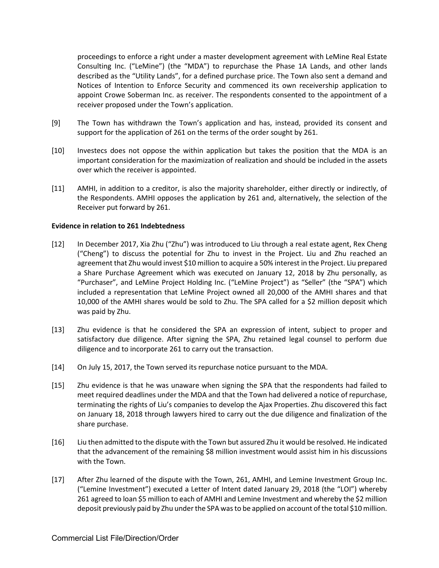proceedings to enforce a right under a master development agreement with LeMine Real Estate Consulting Inc. ("LeMine") (the "MDA") to repurchase the Phase 1A Lands, and other lands described as the "Utility Lands", for a defined purchase price. The Town also sent a demand and Notices of Intention to Enforce Security and commenced its own receivership application to appoint Crowe Soberman Inc. as receiver. The respondents consented to the appointment of a receiver proposed under the Town's application.

- [9] The Town has withdrawn the Town's application and has, instead, provided its consent and support for the application of 261 on the terms of the order sought by 261.
- [10] Investecs does not oppose the within application but takes the position that the MDA is an important consideration for the maximization of realization and should be included in the assets over which the receiver is appointed.
- [11] AMHI, in addition to a creditor, is also the majority shareholder, either directly or indirectly, of the Respondents. AMHI opposes the application by 261 and, alternatively, the selection of the Receiver put forward by 261.

#### **Evidence in relation to 261 Indebtedness**

- [12] In December 2017, Xia Zhu ("Zhu") was introduced to Liu through a real estate agent, Rex Cheng ("Cheng") to discuss the potential for Zhu to invest in the Project. Liu and Zhu reached an agreement that Zhu would invest \$10 million to acquire a 50% interest in the Project. Liu prepared a Share Purchase Agreement which was executed on January 12, 2018 by Zhu personally, as "Purchaser", and LeMine Project Holding Inc. ("LeMine Project") as "Seller" (the "SPA") which included a representation that LeMine Project owned all 20,000 of the AMHI shares and that 10,000 of the AMHI shares would be sold to Zhu. The SPA called for a \$2 million deposit which was paid by Zhu.
- [13] Zhu evidence is that he considered the SPA an expression of intent, subject to proper and satisfactory due diligence. After signing the SPA, Zhu retained legal counsel to perform due diligence and to incorporate 261 to carry out the transaction.
- [14] On July 15, 2017, the Town served its repurchase notice pursuant to the MDA.
- [15] Zhu evidence is that he was unaware when signing the SPA that the respondents had failed to meet required deadlines under the MDA and that the Town had delivered a notice of repurchase, terminating the rights of Liu's companies to develop the Ajax Properties. Zhu discovered this fact on January 18, 2018 through lawyers hired to carry out the due diligence and finalization of the share purchase.
- [16] Liu then admitted to the dispute with the Town but assured Zhu it would be resolved. He indicated that the advancement of the remaining \$8 million investment would assist him in his discussions with the Town.
- [17] After Zhu learned of the dispute with the Town, 261, AMHI, and Lemine Investment Group Inc. ("Lemine Investment") executed a Letter of Intent dated January 29, 2018 (the "LOI") whereby 261 agreed to loan \$5 million to each of AMHI and Lemine Investment and whereby the \$2 million deposit previously paid by Zhu under the SPA was to be applied on account of the total \$10 million.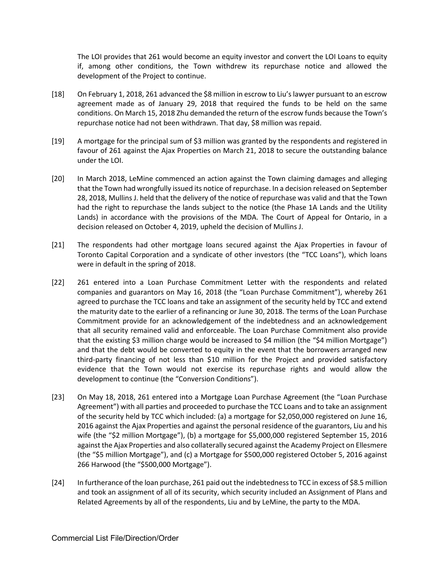The LOI provides that 261 would become an equity investor and convert the LOI Loans to equity if, among other conditions, the Town withdrew its repurchase notice and allowed the development of the Project to continue.

- [18] On February 1, 2018, 261 advanced the \$8 million in escrow to Liu's lawyer pursuant to an escrow agreement made as of January 29, 2018 that required the funds to be held on the same conditions. On March 15, 2018 Zhu demanded the return of the escrow funds because the Town's repurchase notice had not been withdrawn. That day, \$8 million was repaid.
- [19] A mortgage for the principal sum of \$3 million was granted by the respondents and registered in favour of 261 against the Ajax Properties on March 21, 2018 to secure the outstanding balance under the LOI.
- [20] In March 2018, LeMine commenced an action against the Town claiming damages and alleging that the Town had wrongfully issued its notice of repurchase. In a decision released on September 28, 2018, Mullins J. held that the delivery of the notice of repurchase was valid and that the Town had the right to repurchase the lands subject to the notice (the Phase 1A Lands and the Utility Lands) in accordance with the provisions of the MDA. The Court of Appeal for Ontario, in a decision released on October 4, 2019, upheld the decision of Mullins J.
- [21] The respondents had other mortgage loans secured against the Ajax Properties in favour of Toronto Capital Corporation and a syndicate of other investors (the "TCC Loans"), which loans were in default in the spring of 2018.
- [22] 261 entered into a Loan Purchase Commitment Letter with the respondents and related companies and guarantors on May 16, 2018 (the "Loan Purchase Commitment"), whereby 261 agreed to purchase the TCC loans and take an assignment of the security held by TCC and extend the maturity date to the earlier of a refinancing or June 30, 2018. The terms of the Loan Purchase Commitment provide for an acknowledgement of the indebtedness and an acknowledgement that all security remained valid and enforceable. The Loan Purchase Commitment also provide that the existing \$3 million charge would be increased to \$4 million (the "\$4 million Mortgage") and that the debt would be converted to equity in the event that the borrowers arranged new third-party financing of not less than \$10 million for the Project and provided satisfactory evidence that the Town would not exercise its repurchase rights and would allow the development to continue (the "Conversion Conditions").
- [23] On May 18, 2018, 261 entered into a Mortgage Loan Purchase Agreement (the "Loan Purchase Agreement") with all parties and proceeded to purchase the TCC Loans and to take an assignment of the security held by TCC which included: (a) a mortgage for \$2,050,000 registered on June 16, 2016 against the Ajax Properties and against the personal residence of the guarantors, Liu and his wife (the "\$2 million Mortgage"), (b) a mortgage for \$5,000,000 registered September 15, 2016 against the Ajax Properties and also collaterally secured against the Academy Project on Ellesmere (the "\$5 million Mortgage"), and (c) a Mortgage for \$500,000 registered October 5, 2016 against 266 Harwood (the "\$500,000 Mortgage").
- [24] In furtherance of the loan purchase, 261 paid out the indebtedness to TCC in excess of \$8.5 million and took an assignment of all of its security, which security included an Assignment of Plans and Related Agreements by all of the respondents, Liu and by LeMine, the party to the MDA.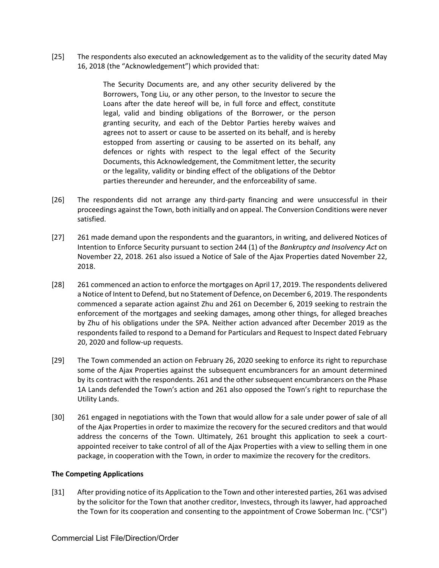[25] The respondents also executed an acknowledgement as to the validity of the security dated May 16, 2018 (the "Acknowledgement") which provided that:

> The Security Documents are, and any other security delivered by the Borrowers, Tong Liu, or any other person, to the Investor to secure the Loans after the date hereof will be, in full force and effect, constitute legal, valid and binding obligations of the Borrower, or the person granting security, and each of the Debtor Parties hereby waives and agrees not to assert or cause to be asserted on its behalf, and is hereby estopped from asserting or causing to be asserted on its behalf, any defences or rights with respect to the legal effect of the Security Documents, this Acknowledgement, the Commitment letter, the security or the legality, validity or binding effect of the obligations of the Debtor parties thereunder and hereunder, and the enforceability of same.

- [26] The respondents did not arrange any third-party financing and were unsuccessful in their proceedings against the Town, both initially and on appeal. The Conversion Conditions were never satisfied.
- [27] 261 made demand upon the respondents and the guarantors, in writing, and delivered Notices of Intention to Enforce Security pursuant to section 244 (1) of the *Bankruptcy and Insolvency Act* on November 22, 2018. 261 also issued a Notice of Sale of the Ajax Properties dated November 22, 2018.
- [28] 261 commenced an action to enforce the mortgages on April 17, 2019. The respondents delivered a Notice of Intent to Defend, but no Statement of Defence, on December 6, 2019. The respondents commenced a separate action against Zhu and 261 on December 6, 2019 seeking to restrain the enforcement of the mortgages and seeking damages, among other things, for alleged breaches by Zhu of his obligations under the SPA. Neither action advanced after December 2019 as the respondents failed to respond to a Demand for Particulars and Request to Inspect dated February 20, 2020 and follow-up requests.
- [29] The Town commended an action on February 26, 2020 seeking to enforce its right to repurchase some of the Ajax Properties against the subsequent encumbrancers for an amount determined by its contract with the respondents. 261 and the other subsequent encumbrancers on the Phase 1A Lands defended the Town's action and 261 also opposed the Town's right to repurchase the Utility Lands.
- [30] 261 engaged in negotiations with the Town that would allow for a sale under power of sale of all of the Ajax Properties in order to maximize the recovery for the secured creditors and that would address the concerns of the Town. Ultimately, 261 brought this application to seek a courtappointed receiver to take control of all of the Ajax Properties with a view to selling them in one package, in cooperation with the Town, in order to maximize the recovery for the creditors.

#### **The Competing Applications**

[31] After providing notice of its Application to the Town and other interested parties, 261 was advised by the solicitor for the Town that another creditor, Investecs, through its lawyer, had approached the Town for its cooperation and consenting to the appointment of Crowe Soberman Inc. ("CSI")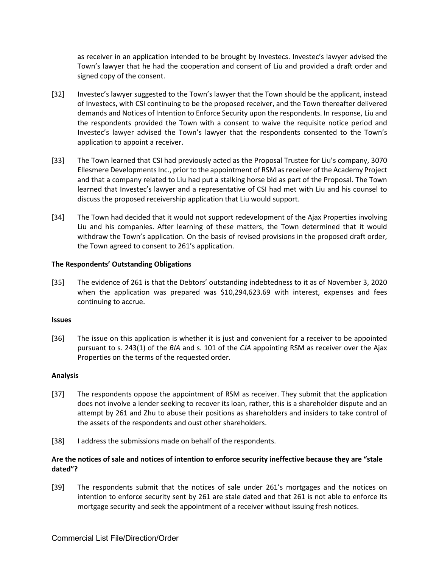as receiver in an application intended to be brought by Investecs. Investec's lawyer advised the Town's lawyer that he had the cooperation and consent of Liu and provided a draft order and signed copy of the consent.

- [32] Investec's lawyer suggested to the Town's lawyer that the Town should be the applicant, instead of Investecs, with CSI continuing to be the proposed receiver, and the Town thereafter delivered demands and Notices of Intention to Enforce Security upon the respondents. In response, Liu and the respondents provided the Town with a consent to waive the requisite notice period and Investec's lawyer advised the Town's lawyer that the respondents consented to the Town's application to appoint a receiver.
- [33] The Town learned that CSI had previously acted as the Proposal Trustee for Liu's company, 3070 Ellesmere Developments Inc., prior to the appointment of RSM as receiver of the Academy Project and that a company related to Liu had put a stalking horse bid as part of the Proposal. The Town learned that Investec's lawyer and a representative of CSI had met with Liu and his counsel to discuss the proposed receivership application that Liu would support.
- [34] The Town had decided that it would not support redevelopment of the Ajax Properties involving Liu and his companies. After learning of these matters, the Town determined that it would withdraw the Town's application. On the basis of revised provisions in the proposed draft order, the Town agreed to consent to 261's application.

## **The Respondents' Outstanding Obligations**

[35] The evidence of 261 is that the Debtors' outstanding indebtedness to it as of November 3, 2020 when the application was prepared was \$10,294,623.69 with interest, expenses and fees continuing to accrue.

#### **Issues**

[36] The issue on this application is whether it is just and convenient for a receiver to be appointed pursuant to s. 243(1) of the *BIA* and s. 101 of the *CJA* appointing RSM as receiver over the Ajax Properties on the terms of the requested order.

#### **Analysis**

- [37] The respondents oppose the appointment of RSM as receiver. They submit that the application does not involve a lender seeking to recover its loan, rather, this is a shareholder dispute and an attempt by 261 and Zhu to abuse their positions as shareholders and insiders to take control of the assets of the respondents and oust other shareholders.
- [38] I address the submissions made on behalf of the respondents.

## **Are the notices of sale and notices of intention to enforce security ineffective because they are "stale dated"?**

[39] The respondents submit that the notices of sale under 261's mortgages and the notices on intention to enforce security sent by 261 are stale dated and that 261 is not able to enforce its mortgage security and seek the appointment of a receiver without issuing fresh notices.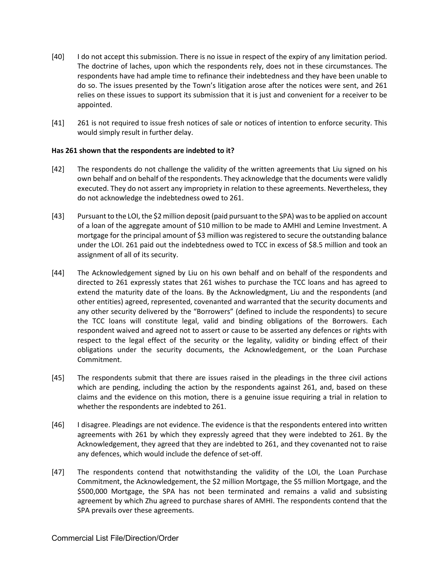- [40] I do not accept this submission. There is no issue in respect of the expiry of any limitation period. The doctrine of laches, upon which the respondents rely, does not in these circumstances. The respondents have had ample time to refinance their indebtedness and they have been unable to do so. The issues presented by the Town's litigation arose after the notices were sent, and 261 relies on these issues to support its submission that it is just and convenient for a receiver to be appointed.
- [41] 261 is not required to issue fresh notices of sale or notices of intention to enforce security. This would simply result in further delay.

## **Has 261 shown that the respondents are indebted to it?**

- [42] The respondents do not challenge the validity of the written agreements that Liu signed on his own behalf and on behalf of the respondents. They acknowledge that the documents were validly executed. They do not assert any impropriety in relation to these agreements. Nevertheless, they do not acknowledge the indebtedness owed to 261.
- [43] Pursuant to the LOI, the \$2 million deposit (paid pursuant to the SPA) was to be applied on account of a loan of the aggregate amount of \$10 million to be made to AMHI and Lemine Investment. A mortgage for the principal amount of \$3 million was registered to secure the outstanding balance under the LOI. 261 paid out the indebtedness owed to TCC in excess of \$8.5 million and took an assignment of all of its security.
- [44] The Acknowledgement signed by Liu on his own behalf and on behalf of the respondents and directed to 261 expressly states that 261 wishes to purchase the TCC loans and has agreed to extend the maturity date of the loans. By the Acknowledgment, Liu and the respondents (and other entities) agreed, represented, covenanted and warranted that the security documents and any other security delivered by the "Borrowers" (defined to include the respondents) to secure the TCC loans will constitute legal, valid and binding obligations of the Borrowers. Each respondent waived and agreed not to assert or cause to be asserted any defences or rights with respect to the legal effect of the security or the legality, validity or binding effect of their obligations under the security documents, the Acknowledgement, or the Loan Purchase Commitment.
- [45] The respondents submit that there are issues raised in the pleadings in the three civil actions which are pending, including the action by the respondents against 261, and, based on these claims and the evidence on this motion, there is a genuine issue requiring a trial in relation to whether the respondents are indebted to 261.
- [46] I disagree. Pleadings are not evidence. The evidence is that the respondents entered into written agreements with 261 by which they expressly agreed that they were indebted to 261. By the Acknowledgement, they agreed that they are indebted to 261, and they covenanted not to raise any defences, which would include the defence of set-off.
- [47] The respondents contend that notwithstanding the validity of the LOI, the Loan Purchase Commitment, the Acknowledgement, the \$2 million Mortgage, the \$5 million Mortgage, and the \$500,000 Mortgage, the SPA has not been terminated and remains a valid and subsisting agreement by which Zhu agreed to purchase shares of AMHI. The respondents contend that the SPA prevails over these agreements.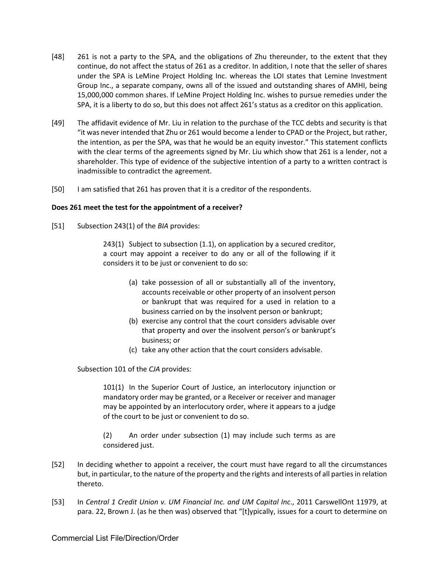- [48] 261 is not a party to the SPA, and the obligations of Zhu thereunder, to the extent that they continue, do not affect the status of 261 as a creditor. In addition, I note that the seller of shares under the SPA is LeMine Project Holding Inc. whereas the LOI states that Lemine Investment Group Inc., a separate company, owns all of the issued and outstanding shares of AMHI, being 15,000,000 common shares. If LeMine Project Holding Inc. wishes to pursue remedies under the SPA, it is a liberty to do so, but this does not affect 261's status as a creditor on this application.
- [49] The affidavit evidence of Mr. Liu in relation to the purchase of the TCC debts and security is that "it was never intended that Zhu or 261 would become a lender to CPAD or the Project, but rather, the intention, as per the SPA, was that he would be an equity investor." This statement conflicts with the clear terms of the agreements signed by Mr. Liu which show that 261 is a lender, not a shareholder. This type of evidence of the subjective intention of a party to a written contract is inadmissible to contradict the agreement.
- [50] I am satisfied that 261 has proven that it is a creditor of the respondents.

#### **Does 261 meet the test for the appointment of a receiver?**

[51] Subsection 243(1) of the *BIA* provides:

243(1) Subject to subsection (1.1), on application by a secured creditor, a court may appoint a receiver to do any or all of the following if it considers it to be just or convenient to do so:

- (a) take possession of all or substantially all of the inventory, accounts receivable or other property of an insolvent person or bankrupt that was required for a used in relation to a business carried on by the insolvent person or bankrupt;
- (b) exercise any control that the court considers advisable over that property and over the insolvent person's or bankrupt's business; or
- (c) take any other action that the court considers advisable.

## Subsection 101 of the *CJA* provides:

101(1) In the Superior Court of Justice, an interlocutory injunction or mandatory order may be granted, or a Receiver or receiver and manager may be appointed by an interlocutory order, where it appears to a judge of the court to be just or convenient to do so.

(2) An order under subsection (1) may include such terms as are considered just.

- [52] In deciding whether to appoint a receiver, the court must have regard to all the circumstances but, in particular, to the nature of the property and the rights and interests of all parties in relation thereto.
- [53] In *Central 1 Credit Union v. UM Financial Inc. and UM Capital Inc*., 2011 CarswellOnt 11979, at para. 22, Brown J. (as he then was) observed that "[t]ypically, issues for a court to determine on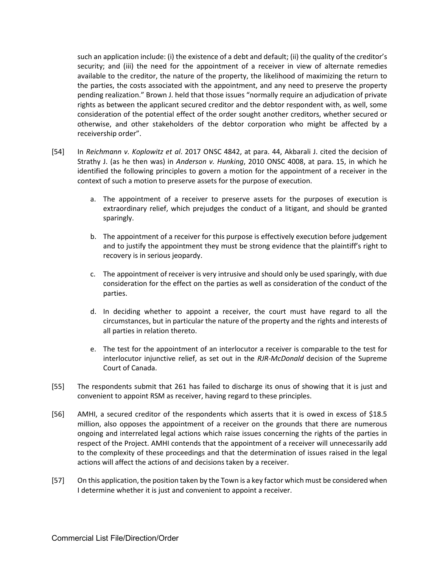such an application include: (i) the existence of a debt and default; (ii) the quality of the creditor's security; and (iii) the need for the appointment of a receiver in view of alternate remedies available to the creditor, the nature of the property, the likelihood of maximizing the return to the parties, the costs associated with the appointment, and any need to preserve the property pending realization." Brown J. held that those issues "normally require an adjudication of private rights as between the applicant secured creditor and the debtor respondent with, as well, some consideration of the potential effect of the order sought another creditors, whether secured or otherwise, and other stakeholders of the debtor corporation who might be affected by a receivership order".

- [54] In *Reichmann v. Koplowitz et al*. 2017 ONSC 4842, at para. 44, Akbarali J. cited the decision of Strathy J. (as he then was) in *Anderson v. Hunking*, 2010 ONSC 4008, at para. 15, in which he identified the following principles to govern a motion for the appointment of a receiver in the context of such a motion to preserve assets for the purpose of execution.
	- a. The appointment of a receiver to preserve assets for the purposes of execution is extraordinary relief, which prejudges the conduct of a litigant, and should be granted sparingly.
	- b. The appointment of a receiver for this purpose is effectively execution before judgement and to justify the appointment they must be strong evidence that the plaintiff's right to recovery is in serious jeopardy.
	- c. The appointment of receiver is very intrusive and should only be used sparingly, with due consideration for the effect on the parties as well as consideration of the conduct of the parties.
	- d. In deciding whether to appoint a receiver, the court must have regard to all the circumstances, but in particular the nature of the property and the rights and interests of all parties in relation thereto.
	- e. The test for the appointment of an interlocutor a receiver is comparable to the test for interlocutor injunctive relief, as set out in the *RJR-McDonald* decision of the Supreme Court of Canada.
- [55] The respondents submit that 261 has failed to discharge its onus of showing that it is just and convenient to appoint RSM as receiver, having regard to these principles.
- [56] AMHI, a secured creditor of the respondents which asserts that it is owed in excess of \$18.5 million, also opposes the appointment of a receiver on the grounds that there are numerous ongoing and interrelated legal actions which raise issues concerning the rights of the parties in respect of the Project. AMHI contends that the appointment of a receiver will unnecessarily add to the complexity of these proceedings and that the determination of issues raised in the legal actions will affect the actions of and decisions taken by a receiver.
- [57] On this application, the position taken by the Town is a key factor which must be considered when I determine whether it is just and convenient to appoint a receiver.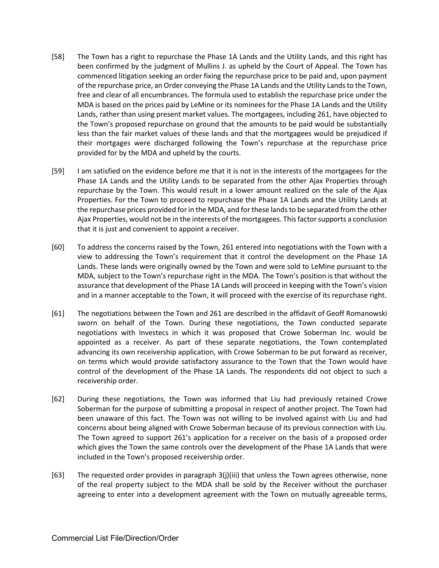- [58] The Town has a right to repurchase the Phase 1A Lands and the Utility Lands, and this right has been confirmed by the judgment of Mullins J. as upheld by the Court of Appeal. The Town has commenced litigation seeking an order fixing the repurchase price to be paid and, upon payment of the repurchase price, an Order conveying the Phase 1A Lands and the Utility Lands to the Town, free and clear of all encumbrances. The formula used to establish the repurchase price under the MDA is based on the prices paid by LeMine or its nominees for the Phase 1A Lands and the Utility Lands, rather than using present market values. The mortgagees, including 261, have objected to the Town's proposed repurchase on ground that the amounts to be paid would be substantially less than the fair market values of these lands and that the mortgagees would be prejudiced if their mortgages were discharged following the Town's repurchase at the repurchase price provided for by the MDA and upheld by the courts.
- [59] I am satisfied on the evidence before me that it is not in the interests of the mortgagees for the Phase 1A Lands and the Utility Lands to be separated from the other Ajax Properties through repurchase by the Town. This would result in a lower amount realized on the sale of the Ajax Properties. For the Town to proceed to repurchase the Phase 1A Lands and the Utility Lands at the repurchase prices provided for in the MDA, and for these lands to be separated from the other Ajax Properties, would not be in the interests of the mortgagees. This factor supports a conclusion that it is just and convenient to appoint a receiver.
- [60] To address the concerns raised by the Town, 261 entered into negotiations with the Town with a view to addressing the Town's requirement that it control the development on the Phase 1A Lands. These lands were originally owned by the Town and were sold to LeMine pursuant to the MDA, subject to the Town's repurchase right in the MDA. The Town's position is that without the assurance that development of the Phase 1A Lands will proceed in keeping with the Town's vision and in a manner acceptable to the Town, it will proceed with the exercise of its repurchase right.
- [61] The negotiations between the Town and 261 are described in the affidavit of Geoff Romanowski sworn on behalf of the Town. During these negotiations, the Town conducted separate negotiations with Investecs in which it was proposed that Crowe Soberman Inc. would be appointed as a receiver. As part of these separate negotiations, the Town contemplated advancing its own receivership application, with Crowe Soberman to be put forward as receiver, on terms which would provide satisfactory assurance to the Town that the Town would have control of the development of the Phase 1A Lands. The respondents did not object to such a receivership order.
- [62] During these negotiations, the Town was informed that Liu had previously retained Crowe Soberman for the purpose of submitting a proposal in respect of another project. The Town had been unaware of this fact. The Town was not willing to be involved against with Liu and had concerns about being aligned with Crowe Soberman because of its previous connection with Liu. The Town agreed to support 261's application for a receiver on the basis of a proposed order which gives the Town the same controls over the development of the Phase 1A Lands that were included in the Town's proposed receivership order.
- [63] The requested order provides in paragraph 3(j)(iii) that unless the Town agrees otherwise, none of the real property subject to the MDA shall be sold by the Receiver without the purchaser agreeing to enter into a development agreement with the Town on mutually agreeable terms,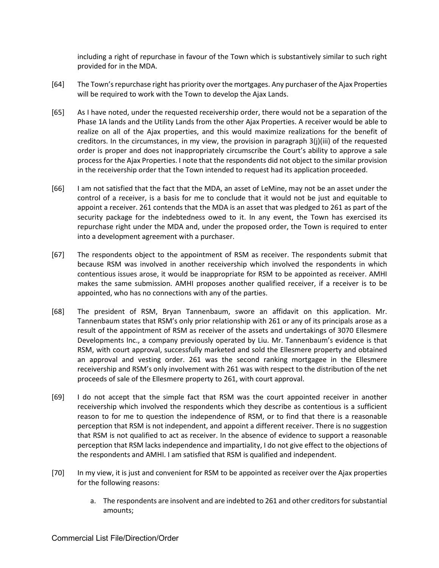including a right of repurchase in favour of the Town which is substantively similar to such right provided for in the MDA.

- [64] The Town's repurchase right has priority over the mortgages. Any purchaser of the Ajax Properties will be required to work with the Town to develop the Ajax Lands.
- [65] As I have noted, under the requested receivership order, there would not be a separation of the Phase 1A lands and the Utility Lands from the other Ajax Properties. A receiver would be able to realize on all of the Ajax properties, and this would maximize realizations for the benefit of creditors. In the circumstances, in my view, the provision in paragraph 3(j)(iii) of the requested order is proper and does not inappropriately circumscribe the Court's ability to approve a sale process for the Ajax Properties. I note that the respondents did not object to the similar provision in the receivership order that the Town intended to request had its application proceeded.
- [66] I am not satisfied that the fact that the MDA, an asset of LeMine, may not be an asset under the control of a receiver, is a basis for me to conclude that it would not be just and equitable to appoint a receiver. 261 contends that the MDA is an asset that was pledged to 261 as part of the security package for the indebtedness owed to it. In any event, the Town has exercised its repurchase right under the MDA and, under the proposed order, the Town is required to enter into a development agreement with a purchaser.
- [67] The respondents object to the appointment of RSM as receiver. The respondents submit that because RSM was involved in another receivership which involved the respondents in which contentious issues arose, it would be inappropriate for RSM to be appointed as receiver. AMHI makes the same submission. AMHI proposes another qualified receiver, if a receiver is to be appointed, who has no connections with any of the parties.
- [68] The president of RSM, Bryan Tannenbaum, swore an affidavit on this application. Mr. Tannenbaum states that RSM's only prior relationship with 261 or any of its principals arose as a result of the appointment of RSM as receiver of the assets and undertakings of 3070 Ellesmere Developments Inc., a company previously operated by Liu. Mr. Tannenbaum's evidence is that RSM, with court approval, successfully marketed and sold the Ellesmere property and obtained an approval and vesting order. 261 was the second ranking mortgagee in the Ellesmere receivership and RSM's only involvement with 261 was with respect to the distribution of the net proceeds of sale of the Ellesmere property to 261, with court approval.
- [69] I do not accept that the simple fact that RSM was the court appointed receiver in another receivership which involved the respondents which they describe as contentious is a sufficient reason to for me to question the independence of RSM, or to find that there is a reasonable perception that RSM is not independent, and appoint a different receiver. There is no suggestion that RSM is not qualified to act as receiver. In the absence of evidence to support a reasonable perception that RSM lacks independence and impartiality, I do not give effect to the objections of the respondents and AMHI. I am satisfied that RSM is qualified and independent.
- [70] In my view, it is just and convenient for RSM to be appointed as receiver over the Ajax properties for the following reasons:
	- a. The respondents are insolvent and are indebted to 261 and other creditors for substantial amounts;